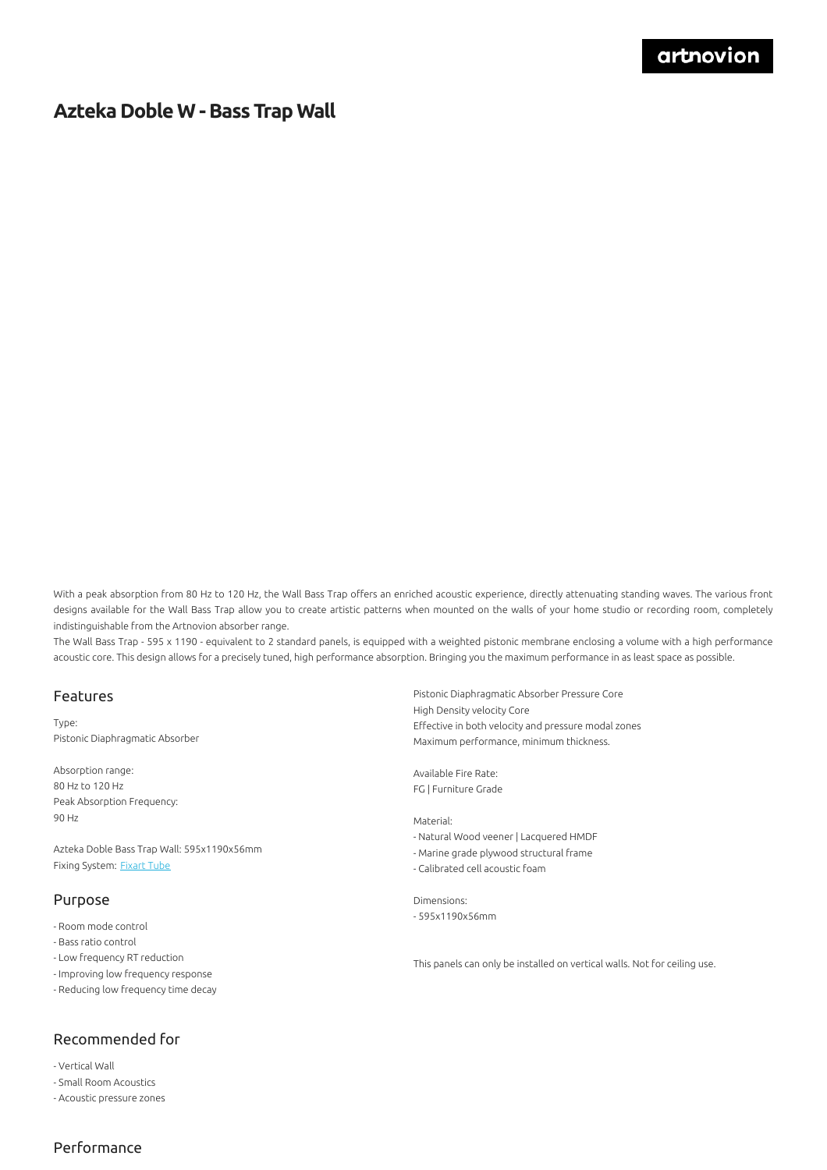## **Azteka Doble W -Bass Trap Wall**

With a peak absorption from 80 Hz to 120 Hz, the Wall Bass Trap offers an enriched acoustic experience, directly attenuating standing waves. The various front designs available for the Wall Bass Trap allow you to create artistic patterns when mounted on the walls of your home studio or recording room, completely indistinguishable from the Artnovion absorber range.

The Wall Bass Trap - 595 x 1190 - equivalent to 2 standard panels, is equipped with a weighted pistonic membrane enclosing a volume with a high performance acoustic core. This design allows for a precisely tuned, high performance absorption. Bringing you the maximum performance in as least space as possible.

#### Features

Type: Pistonic Diaphragmatic Absorber

Absorption range: 80 Hz to 120 Hz Peak Absorption Frequency: 90 Hz

Azteka Doble Bass Trap Wall: 595x1190x56mm Fixing System: [Fixart](https://www.artnovion.com/partners/products/family/5-fixing-systems/product/875-fixart-tube) Tube

#### Purpose

- Room mode control
- Bass ratio control
- Low frequency RT reduction
- Improving low frequency response
- Reducing low frequency time decay

### Recommended for

- Vertical Wall
- Small Room Acoustics
- Acoustic pressure zones

Pistonic Diaphragmatic Absorber Pressure Core High Density velocity Core Effective in both velocity and pressure modal zones Maximum performance, minimum thickness.

Available Fire Rate: FG | Furniture Grade

Material: - Natural Wood veener | Lacquered HMDF - Marine grade plywood structural frame - Calibrated cell acoustic foam

Dimensions: - 595x1190x56mm

This panels can only be installed on vertical walls. Not for ceiling use.

### Performance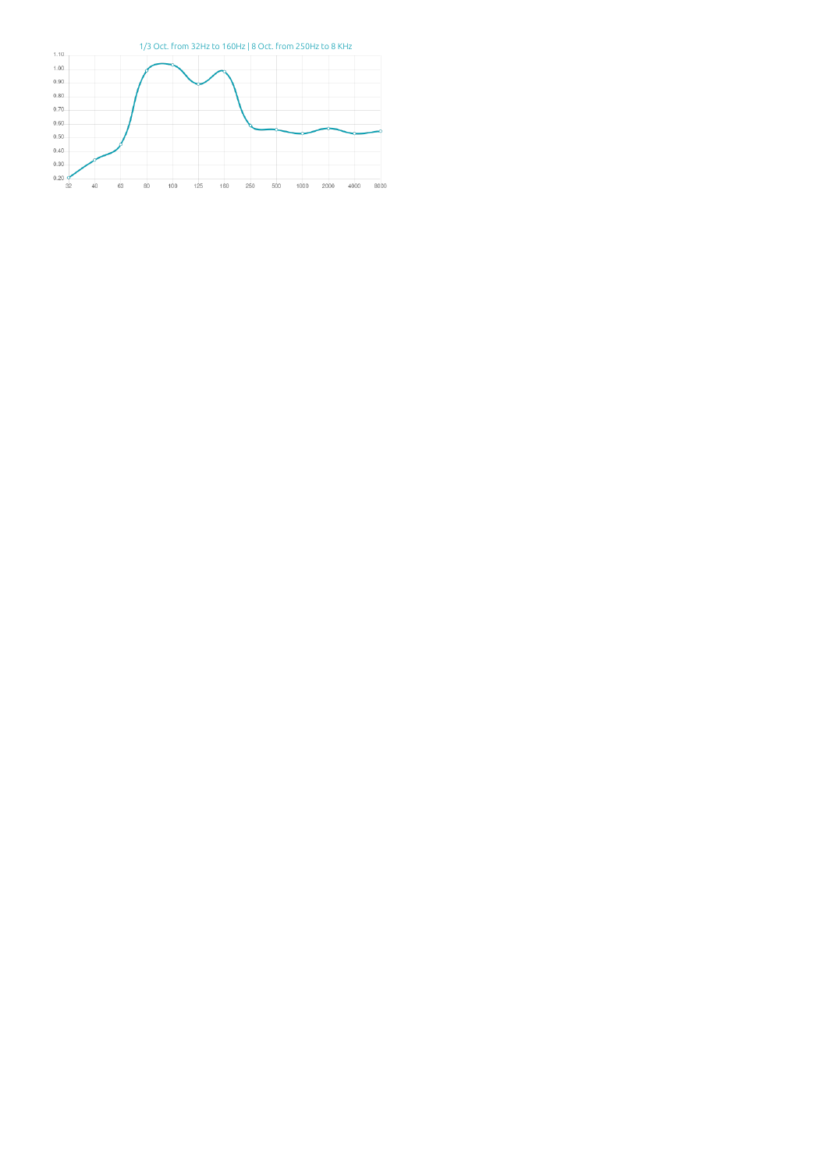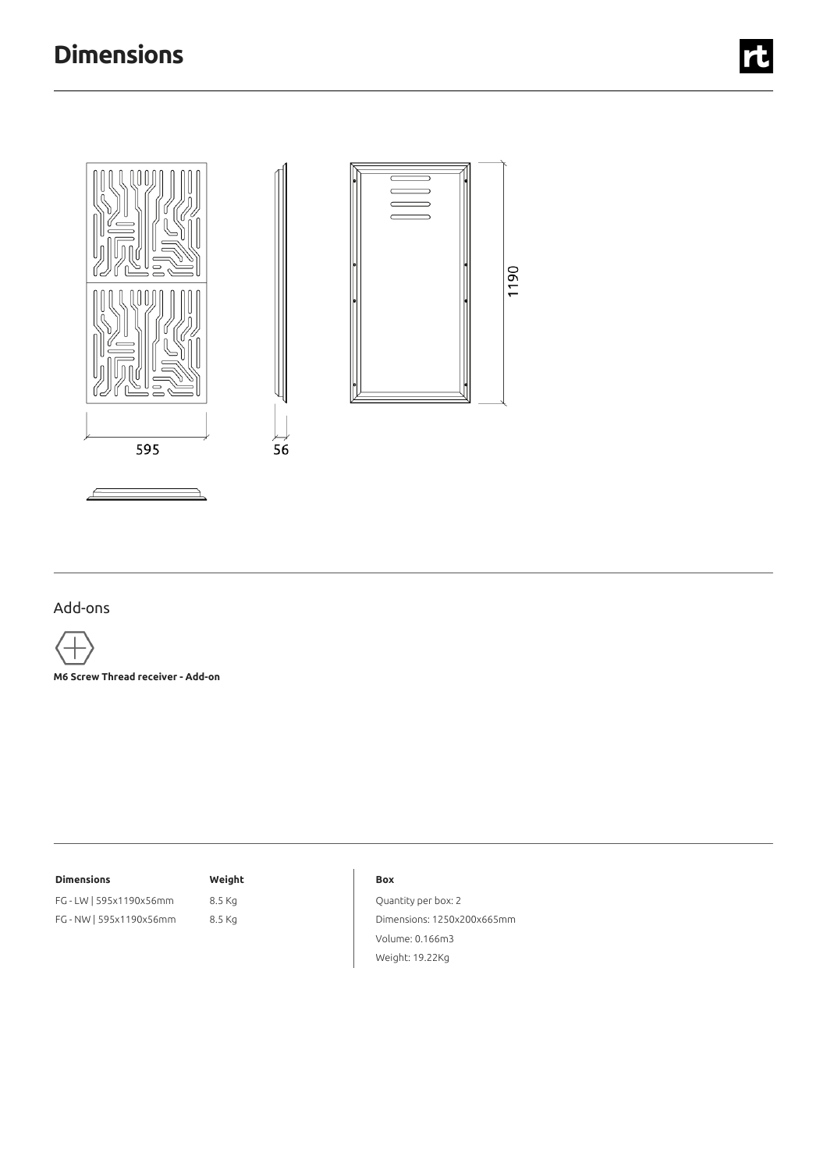

### Add-ons

**M6 Screw Thread receiver - Add-on**

#### **Dimensions Weight**

FG - LW | 595x1190x56mm 8.5 Kg FG - NW |595x1190x56mm 8.5 Kg

#### **Box**

Quantity per box: 2 Dimensions: 1250x200x665mm Volume: 0.166m3 Weight: 19.22Kg